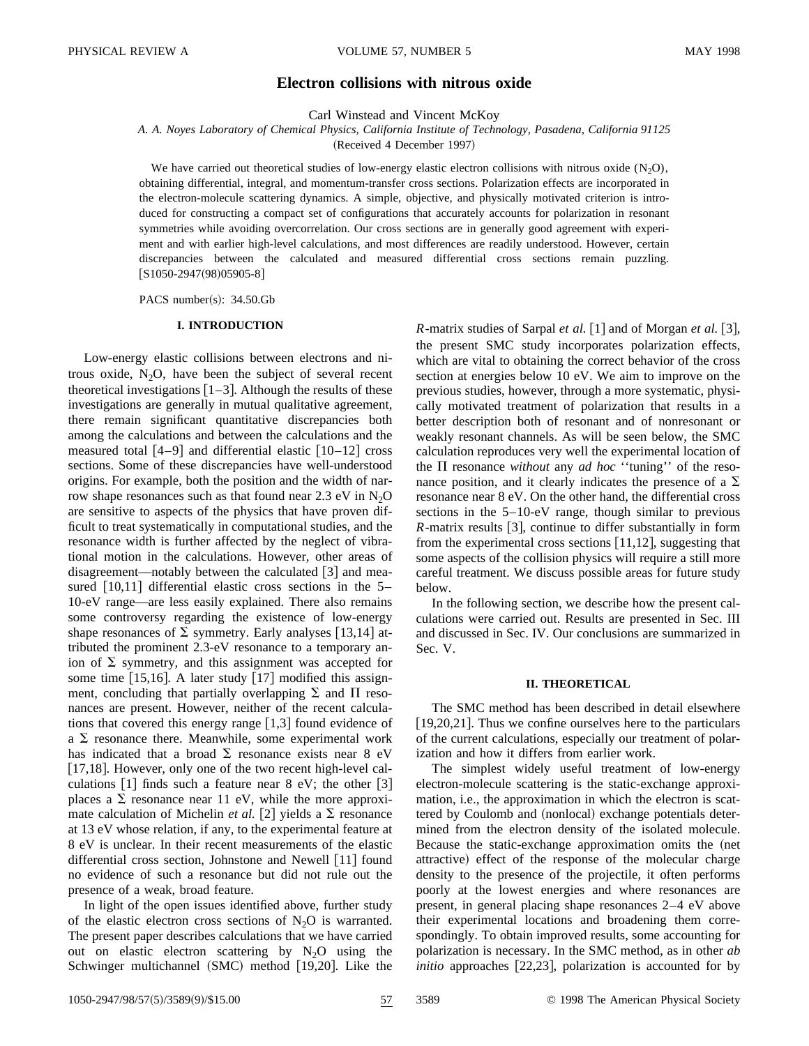# **Electron collisions with nitrous oxide**

Carl Winstead and Vincent McKoy

*A. A. Noyes Laboratory of Chemical Physics, California Institute of Technology, Pasadena, California 91125*

(Received 4 December 1997)

We have carried out theoretical studies of low-energy elastic electron collisions with nitrous oxide  $(N_2O)$ , obtaining differential, integral, and momentum-transfer cross sections. Polarization effects are incorporated in the electron-molecule scattering dynamics. A simple, objective, and physically motivated criterion is introduced for constructing a compact set of configurations that accurately accounts for polarization in resonant symmetries while avoiding overcorrelation. Our cross sections are in generally good agreement with experiment and with earlier high-level calculations, and most differences are readily understood. However, certain discrepancies between the calculated and measured differential cross sections remain puzzling.  $[S1050-2947(98)05905-8]$ 

PACS number(s):  $34.50$ .Gb

## **I. INTRODUCTION**

Low-energy elastic collisions between electrons and nitrous oxide,  $N_2O$ , have been the subject of several recent theoretical investigations  $\lceil 1-3 \rceil$ . Although the results of these investigations are generally in mutual qualitative agreement, there remain significant quantitative discrepancies both among the calculations and between the calculations and the measured total  $[4-9]$  and differential elastic  $[10-12]$  cross sections. Some of these discrepancies have well-understood origins. For example, both the position and the width of narrow shape resonances such as that found near  $2.3 \text{ eV}$  in N<sub>2</sub>O are sensitive to aspects of the physics that have proven difficult to treat systematically in computational studies, and the resonance width is further affected by the neglect of vibrational motion in the calculations. However, other areas of disagreement—notably between the calculated  $\lceil 3 \rceil$  and measured  $[10,11]$  differential elastic cross sections in the 5– 10-eV range—are less easily explained. There also remains some controversy regarding the existence of low-energy shape resonances of  $\Sigma$  symmetry. Early analyses [13,14] attributed the prominent 2.3-eV resonance to a temporary anion of  $\Sigma$  symmetry, and this assignment was accepted for some time  $[15,16]$ . A later study  $[17]$  modified this assignment, concluding that partially overlapping  $\Sigma$  and  $\Pi$  resonances are present. However, neither of the recent calculations that covered this energy range  $\lfloor 1,3 \rfloor$  found evidence of a  $\Sigma$  resonance there. Meanwhile, some experimental work has indicated that a broad  $\Sigma$  resonance exists near 8 eV [17,18]. However, only one of the two recent high-level calculations  $\lceil 1 \rceil$  finds such a feature near 8 eV; the other  $\lceil 3 \rceil$ places a  $\Sigma$  resonance near 11 eV, while the more approximate calculation of Michelin *et al.* [2] yields a  $\Sigma$  resonance at 13 eV whose relation, if any, to the experimental feature at 8 eV is unclear. In their recent measurements of the elastic differential cross section, Johnstone and Newell  $\lceil 11 \rceil$  found no evidence of such a resonance but did not rule out the presence of a weak, broad feature.

In light of the open issues identified above, further study of the elastic electron cross sections of  $N_2O$  is warranted. The present paper describes calculations that we have carried out on elastic electron scattering by  $N_2O$  using the Schwinger multichannel  $(SMC)$  method  $[19,20]$ . Like the *R*-matrix studies of Sarpal *et al.* [1] and of Morgan *et al.* [3], the present SMC study incorporates polarization effects, which are vital to obtaining the correct behavior of the cross section at energies below 10 eV. We aim to improve on the previous studies, however, through a more systematic, physically motivated treatment of polarization that results in a better description both of resonant and of nonresonant or weakly resonant channels. As will be seen below, the SMC calculation reproduces very well the experimental location of the  $\Pi$  resonance *without* any *ad hoc* "tuning" of the resonance position, and it clearly indicates the presence of a  $\Sigma$ resonance near 8 eV. On the other hand, the differential cross sections in the 5–10-eV range, though similar to previous *-matrix results [3], continue to differ substantially in form* from the experimental cross sections  $[11,12]$ , suggesting that some aspects of the collision physics will require a still more careful treatment. We discuss possible areas for future study below.

In the following section, we describe how the present calculations were carried out. Results are presented in Sec. III and discussed in Sec. IV. Our conclusions are summarized in Sec. V.

## **II. THEORETICAL**

The SMC method has been described in detail elsewhere  $[19,20,21]$ . Thus we confine ourselves here to the particulars of the current calculations, especially our treatment of polarization and how it differs from earlier work.

The simplest widely useful treatment of low-energy electron-molecule scattering is the static-exchange approximation, i.e., the approximation in which the electron is scattered by Coulomb and (nonlocal) exchange potentials determined from the electron density of the isolated molecule. Because the static-exchange approximation omits the (net attractive) effect of the response of the molecular charge density to the presence of the projectile, it often performs poorly at the lowest energies and where resonances are present, in general placing shape resonances 2–4 eV above their experimental locations and broadening them correspondingly. To obtain improved results, some accounting for polarization is necessary. In the SMC method, as in other *ab approaches*  $[22,23]$ *, polarization is accounted for by* 

1050-2947/98/57(5)/3589(9)/\$15.00 57 3589 © 1998 The American Physical Society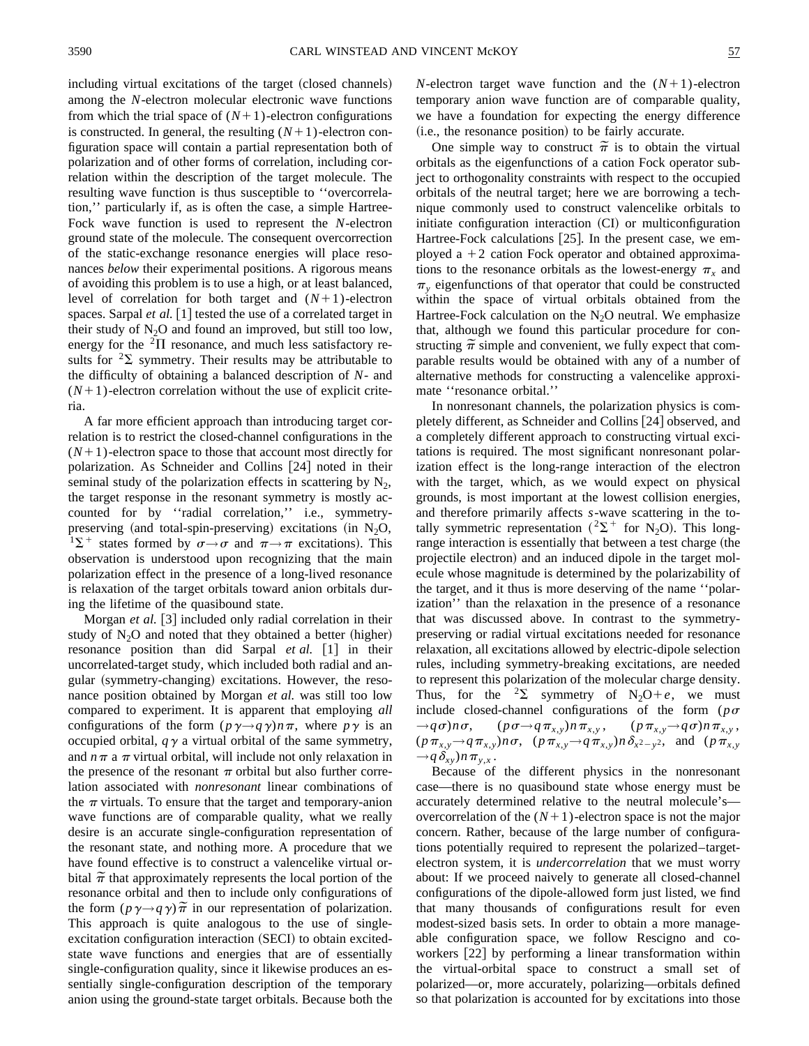including virtual excitations of the target (closed channels) among the *N*-electron molecular electronic wave functions from which the trial space of  $(N+1)$ -electron configurations is constructed. In general, the resulting  $(N+1)$ -electron configuration space will contain a partial representation both of polarization and of other forms of correlation, including correlation within the description of the target molecule. The resulting wave function is thus susceptible to ''overcorrelation,'' particularly if, as is often the case, a simple Hartree-Fock wave function is used to represent the *N*-electron ground state of the molecule. The consequent overcorrection of the static-exchange resonance energies will place resonances *below* their experimental positions. A rigorous means of avoiding this problem is to use a high, or at least balanced, level of correlation for both target and  $(N+1)$ -electron spaces. Sarpal *et al.* [1] tested the use of a correlated target in their study of  $N_2O$  and found an improved, but still too low, energy for the  ${}^{2}\Pi$  resonance, and much less satisfactory results for  ${}^{2}\Sigma$  symmetry. Their results may be attributable to the difficulty of obtaining a balanced description of *N*- and  $(N+1)$ -electron correlation without the use of explicit criteria.

A far more efficient approach than introducing target correlation is to restrict the closed-channel configurations in the  $(N+1)$ -electron space to those that account most directly for polarization. As Schneider and Collins [24] noted in their seminal study of the polarization effects in scattering by  $N_2$ , the target response in the resonant symmetry is mostly accounted for by ''radial correlation,'' i.e., symmetrypreserving (and total-spin-preserving) excitations (in  $N_2O$ ,  $1\Sigma^+$  states formed by  $\sigma \rightarrow \sigma$  and  $\pi \rightarrow \pi$  excitations). This observation is understood upon recognizing that the main polarization effect in the presence of a long-lived resonance is relaxation of the target orbitals toward anion orbitals during the lifetime of the quasibound state.

Morgan *et al.* 3 included only radial correlation in their study of  $N_2O$  and noted that they obtained a better (higher) resonance position than did Sarpal *et al.* [1] in their uncorrelated-target study, which included both radial and angular (symmetry-changing) excitations. However, the resonance position obtained by Morgan *et al.* was still too low compared to experiment. It is apparent that employing *all* configurations of the form  $(p \gamma \rightarrow q \gamma)n\pi$ , where  $p \gamma$  is an occupied orbital,  $q\gamma$  a virtual orbital of the same symmetry, and  $n\pi$  a  $\pi$  virtual orbital, will include not only relaxation in the presence of the resonant  $\pi$  orbital but also further correlation associated with *nonresonant* linear combinations of the  $\pi$  virtuals. To ensure that the target and temporary-anion wave functions are of comparable quality, what we really desire is an accurate single-configuration representation of the resonant state, and nothing more. A procedure that we have found effective is to construct a valencelike virtual orbital  $\tilde{\pi}$  that approximately represents the local portion of the resonance orbital and then to include only configurations of the form  $(p\gamma \rightarrow q\gamma)\tilde{\pi}$  in our representation of polarization. This approach is quite analogous to the use of singleexcitation configuration interaction (SECI) to obtain excitedstate wave functions and energies that are of essentially single-configuration quality, since it likewise produces an essentially single-configuration description of the temporary anion using the ground-state target orbitals. Because both the *N*-electron target wave function and the  $(N+1)$ -electron temporary anion wave function are of comparable quality, we have a foundation for expecting the energy difference  $(i.e., the resonance position)$  to be fairly accurate.

One simple way to construct  $\tilde{\pi}$  is to obtain the virtual orbitals as the eigenfunctions of a cation Fock operator subject to orthogonality constraints with respect to the occupied orbitals of the neutral target; here we are borrowing a technique commonly used to construct valencelike orbitals to initiate configuration interaction  $(CI)$  or multiconfiguration Hartree-Fock calculations  $[25]$ . In the present case, we employed a  $+2$  cation Fock operator and obtained approximations to the resonance orbitals as the lowest-energy  $\pi$ <sub>x</sub> and  $\pi$ , eigenfunctions of that operator that could be constructed within the space of virtual orbitals obtained from the Hartree-Fock calculation on the  $N_2O$  neutral. We emphasize that, although we found this particular procedure for constructing  $\tilde{\pi}$  simple and convenient, we fully expect that comparable results would be obtained with any of a number of alternative methods for constructing a valencelike approximate ''resonance orbital.''

In nonresonant channels, the polarization physics is completely different, as Schneider and Collins [24] observed, and a completely different approach to constructing virtual excitations is required. The most significant nonresonant polarization effect is the long-range interaction of the electron with the target, which, as we would expect on physical grounds, is most important at the lowest collision energies, and therefore primarily affects *s*-wave scattering in the totally symmetric representation  $(^{2}\Sigma^{+}$  for N<sub>2</sub>O). This longrange interaction is essentially that between a test charge (the projectile electron) and an induced dipole in the target molecule whose magnitude is determined by the polarizability of the target, and it thus is more deserving of the name ''polarization'' than the relaxation in the presence of a resonance that was discussed above. In contrast to the symmetrypreserving or radial virtual excitations needed for resonance relaxation, all excitations allowed by electric-dipole selection rules, including symmetry-breaking excitations, are needed to represent this polarization of the molecular charge density. Thus, for the <sup>2</sup> $\Sigma$  symmetry of N<sub>2</sub>O+*e*, we must include closed-channel configurations of the form ( $p\sigma$ )  $\rightarrow$   $q\sigma$ ) $n\sigma$ , ( $p\sigma$  $\rightarrow$   $q\pi$ <sub>x,y</sub>) $n\pi$ <sub>x,y</sub>, ( $p\pi$ <sub>x,y</sub> $\rightarrow$   $q\sigma$ ) $n\pi$ <sub>x,y</sub>,  $(p\pi_{x,y} \rightarrow q\pi_{x,y})n\sigma$ ,  $(p\pi_{x,y} \rightarrow q\pi_{x,y})n\delta_{x^2-y^2}$ , and  $(p\pi_{x,y})$  $\rightarrow$ *q* $\delta$ <sub>*xy</sub>*)*n* $\pi$ <sub>*y*,*x*</sub>.</sub>

Because of the different physics in the nonresonant case—there is no quasibound state whose energy must be accurately determined relative to the neutral molecule's overcorrelation of the  $(N+1)$ -electron space is not the major concern. Rather, because of the large number of configurations potentially required to represent the polarized–targetelectron system, it is *undercorrelation* that we must worry about: If we proceed naively to generate all closed-channel configurations of the dipole-allowed form just listed, we find that many thousands of configurations result for even modest-sized basis sets. In order to obtain a more manageable configuration space, we follow Rescigno and coworkers  $[22]$  by performing a linear transformation within the virtual-orbital space to construct a small set of polarized—or, more accurately, polarizing—orbitals defined so that polarization is accounted for by excitations into those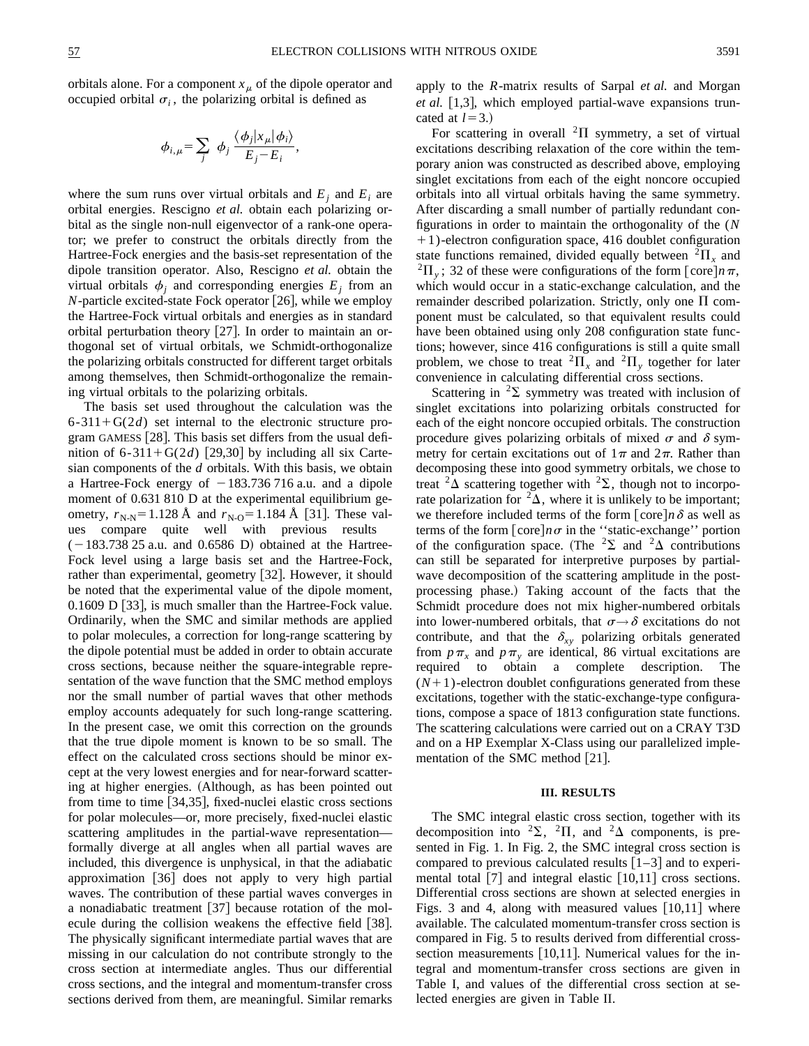orbitals alone. For a component  $x<sub>\mu</sub>$  of the dipole operator and occupied orbital  $\sigma_i$ , the polarizing orbital is defined as

$$
\phi_{i,\mu} = \sum_j \phi_j \frac{\langle \phi_j | x_\mu | \phi_i \rangle}{E_j - E_i}
$$

,

where the sum runs over virtual orbitals and  $E_i$  and  $E_i$  are orbital energies. Rescigno *et al.* obtain each polarizing orbital as the single non-null eigenvector of a rank-one operator; we prefer to construct the orbitals directly from the Hartree-Fock energies and the basis-set representation of the dipole transition operator. Also, Rescigno *et al.* obtain the virtual orbitals  $\phi_i$  and corresponding energies  $E_i$  from an  $N$ -particle excited-state Fock operator [26], while we employ the Hartree-Fock virtual orbitals and energies as in standard orbital perturbation theory  $[27]$ . In order to maintain an orthogonal set of virtual orbitals, we Schmidt-orthogonalize the polarizing orbitals constructed for different target orbitals among themselves, then Schmidt-orthogonalize the remaining virtual orbitals to the polarizing orbitals.

The basis set used throughout the calculation was the  $6-311+G(2d)$  set internal to the electronic structure program GAMESS  $[28]$ . This basis set differs from the usual definition of  $6-311+G(2d)$  [29,30] by including all six Cartesian components of the *d* orbitals. With this basis, we obtain a Hartree-Fock energy of  $-183.736716$  a.u. and a dipole moment of 0.631 810 D at the experimental equilibrium geometry,  $r_{N-N}$ = 1.128 Å and  $r_{N-O}$ = 1.184 Å [31]. These values compare quite well with previous results  $(-183.738 25$  a.u. and 0.6586 D) obtained at the Hartree-Fock level using a large basis set and the Hartree-Fock, rather than experimental, geometry [32]. However, it should be noted that the experimental value of the dipole moment,  $0.1609$  D  $|33|$ , is much smaller than the Hartree-Fock value. Ordinarily, when the SMC and similar methods are applied to polar molecules, a correction for long-range scattering by the dipole potential must be added in order to obtain accurate cross sections, because neither the square-integrable representation of the wave function that the SMC method employs nor the small number of partial waves that other methods employ accounts adequately for such long-range scattering. In the present case, we omit this correction on the grounds that the true dipole moment is known to be so small. The effect on the calculated cross sections should be minor except at the very lowest energies and for near-forward scattering at higher energies. (Although, as has been pointed out from time to time  $[34,35]$ , fixed-nuclei elastic cross sections for polar molecules—or, more precisely, fixed-nuclei elastic scattering amplitudes in the partial-wave representation formally diverge at all angles when all partial waves are included, this divergence is unphysical, in that the adiabatic approximation [36] does not apply to very high partial waves. The contribution of these partial waves converges in a nonadiabatic treatment  $[37]$  because rotation of the molecule during the collision weakens the effective field  $[38]$ . The physically significant intermediate partial waves that are missing in our calculation do not contribute strongly to the cross section at intermediate angles. Thus our differential cross sections, and the integral and momentum-transfer cross sections derived from them, are meaningful. Similar remarks apply to the *R*-matrix results of Sarpal *et al.* and Morgan *et al.* [1,3], which employed partial-wave expansions truncated at  $l=3.$ )

For scattering in overall  ${}^{2}\Pi$  symmetry, a set of virtual excitations describing relaxation of the core within the temporary anion was constructed as described above, employing singlet excitations from each of the eight noncore occupied orbitals into all virtual orbitals having the same symmetry. After discarding a small number of partially redundant configurations in order to maintain the orthogonality of the (*N* 11)-electron configuration space, 416 doublet configuration state functions remained, divided equally between  ${}^{2} \Pi_{x}$  and  ${}^{2}\Pi_{y}$ ; 32 of these were configurations of the form  $\lceil \csc n \rceil n \pi$ , which would occur in a static-exchange calculation, and the remainder described polarization. Strictly, only one  $\Pi$  component must be calculated, so that equivalent results could have been obtained using only 208 configuration state functions; however, since 416 configurations is still a quite small problem, we chose to treat  ${}^{2}\Pi_{x}$  and  ${}^{2}\Pi_{y}$  together for later convenience in calculating differential cross sections.

Scattering in  ${}^{2}\Sigma$  symmetry was treated with inclusion of singlet excitations into polarizing orbitals constructed for each of the eight noncore occupied orbitals. The construction procedure gives polarizing orbitals of mixed  $\sigma$  and  $\delta$  symmetry for certain excitations out of  $1\pi$  and  $2\pi$ . Rather than decomposing these into good symmetry orbitals, we chose to treat  ${}^{2}\Delta$  scattering together with  ${}^{2}\Sigma$ , though not to incorporate polarization for  ${}^{2}\Delta$ , where it is unlikely to be important; we therefore included terms of the form  $[\text{core}] n \delta$  as well as terms of the form  $[core]n\sigma$  in the "static-exchange" portion of the configuration space. (The <sup>2</sup> $\Sigma$  and <sup>2</sup> $\Delta$  contributions can still be separated for interpretive purposes by partialwave decomposition of the scattering amplitude in the postprocessing phase.) Taking account of the facts that the Schmidt procedure does not mix higher-numbered orbitals into lower-numbered orbitals, that  $\sigma \rightarrow \delta$  excitations do not contribute, and that the  $\delta_{xy}$  polarizing orbitals generated from  $p\pi$ <sub>x</sub> and  $p\pi$ <sub>y</sub> are identical, 86 virtual excitations are required to obtain a complete description. The  $(N+1)$ -electron doublet configurations generated from these excitations, together with the static-exchange-type configurations, compose a space of 1813 configuration state functions. The scattering calculations were carried out on a CRAY T3D and on a HP Exemplar X-Class using our parallelized implementation of the SMC method  $[21]$ .

### **III. RESULTS**

The SMC integral elastic cross section, together with its decomposition into <sup>2</sup> $\Sigma$ , <sup>2</sup> $\Pi$ , and <sup>2</sup> $\Delta$  components, is presented in Fig. 1. In Fig. 2, the SMC integral cross section is compared to previous calculated results  $\lceil 1-3 \rceil$  and to experimental total  $\lceil 7 \rceil$  and integral elastic  $\lceil 10,11 \rceil$  cross sections. Differential cross sections are shown at selected energies in Figs. 3 and 4, along with measured values  $[10,11]$  where available. The calculated momentum-transfer cross section is compared in Fig. 5 to results derived from differential crosssection measurements  $[10,11]$ . Numerical values for the integral and momentum-transfer cross sections are given in Table I, and values of the differential cross section at selected energies are given in Table II.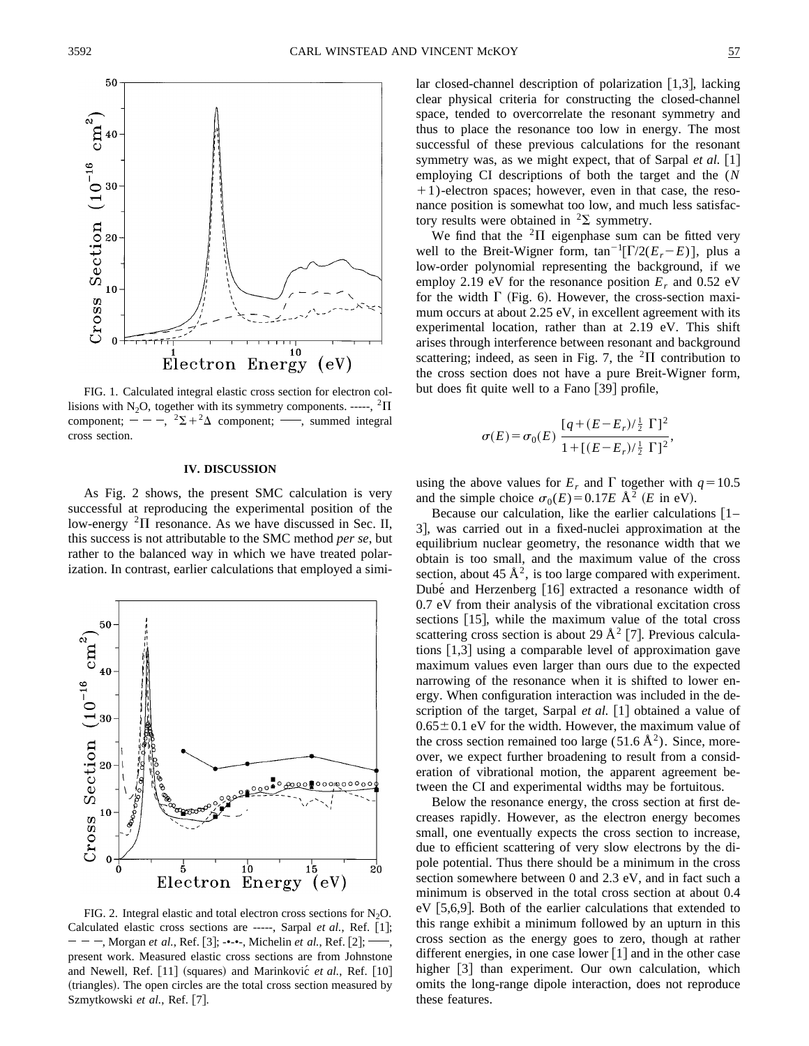

FIG. 1. Calculated integral elastic cross section for electron collisions with N<sub>2</sub>O, together with its symmetry components. -----, <sup>2</sup> $\Pi$ component;  $- -$ ,  $2\Sigma + 2\Delta$  component; , summed integral cross section.

#### **IV. DISCUSSION**

As Fig. 2 shows, the present SMC calculation is very successful at reproducing the experimental position of the low-energy  ${}^{2}$  $\Pi$  resonance. As we have discussed in Sec. II, this success is not attributable to the SMC method *per se*, but rather to the balanced way in which we have treated polarization. In contrast, earlier calculations that employed a simi-



FIG. 2. Integral elastic and total electron cross sections for  $N_2O$ . Calculated elastic cross sections are -----, Sarpal *et al.*, Ref. [1];  $- - -$ , Morgan *et al.*, Ref. [3];  $-$ ---, Michelin *et al.*, Ref. [2]; present work. Measured elastic cross sections are from Johnstone and Newell, Ref. [11] (squares) and Marinkovic<sup> $et al.,$ </sup> Ref. [10] (triangles). The open circles are the total cross section measured by Szmytkowski et al., Ref. [7].

lar closed-channel description of polarization  $[1,3]$ , lacking clear physical criteria for constructing the closed-channel space, tended to overcorrelate the resonant symmetry and thus to place the resonance too low in energy. The most successful of these previous calculations for the resonant symmetry was, as we might expect, that of Sarpal *et al.*  $[1]$ employing CI descriptions of both the target and the (*N*  $+1$ )-electron spaces; however, even in that case, the resonance position is somewhat too low, and much less satisfactory results were obtained in  ${}^{2}\Sigma$  symmetry.

We find that the  ${}^{2}$ II eigenphase sum can be fitted very well to the Breit-Wigner form,  $\tan^{-1}[\Gamma/2(E_r-E)]$ , plus a low-order polynomial representing the background, if we employ 2.19 eV for the resonance position  $E_r$  and 0.52 eV for the width  $\Gamma$  (Fig. 6). However, the cross-section maximum occurs at about 2.25 eV, in excellent agreement with its experimental location, rather than at 2.19 eV. This shift arises through interference between resonant and background scattering; indeed, as seen in Fig. 7, the  ${}^{2}$  $\Pi$  contribution to the cross section does not have a pure Breit-Wigner form, but does fit quite well to a Fano  $\lceil 39 \rceil$  profile,

$$
\sigma(E) = \sigma_0(E) \frac{[q + (E - E_r)/\frac{1}{2} \Gamma]^2}{1 + [(E - E_r)/\frac{1}{2} \Gamma]^2},
$$

using the above values for  $E_r$  and  $\Gamma$  together with  $q=10.5$ and the simple choice  $\sigma_0(E) = 0.17E \text{ Å}^2$  (*E* in eV).

Because our calculation, like the earlier calculations  $[1 -$ 3, was carried out in a fixed-nuclei approximation at the equilibrium nuclear geometry, the resonance width that we obtain is too small, and the maximum value of the cross section, about 45  $\mathring{A}^2$ , is too large compared with experiment. Dubé and Herzenberg [16] extracted a resonance width of 0.7 eV from their analysis of the vibrational excitation cross sections  $[15]$ , while the maximum value of the total cross scattering cross section is about 29  $\AA^2$  [7]. Previous calculations  $\lceil 1,3 \rceil$  using a comparable level of approximation gave maximum values even larger than ours due to the expected narrowing of the resonance when it is shifted to lower energy. When configuration interaction was included in the description of the target, Sarpal *et al.* [1] obtained a value of  $0.65 \pm 0.1$  eV for the width. However, the maximum value of the cross section remained too large  $(51.6 \text{ Å}^2)$ . Since, moreover, we expect further broadening to result from a consideration of vibrational motion, the apparent agreement between the CI and experimental widths may be fortuitous.

Below the resonance energy, the cross section at first decreases rapidly. However, as the electron energy becomes small, one eventually expects the cross section to increase, due to efficient scattering of very slow electrons by the dipole potential. Thus there should be a minimum in the cross section somewhere between 0 and 2.3 eV, and in fact such a minimum is observed in the total cross section at about 0.4 eV  $[5,6,9]$ . Both of the earlier calculations that extended to this range exhibit a minimum followed by an upturn in this cross section as the energy goes to zero, though at rather different energies, in one case lower  $[1]$  and in the other case higher  $\lceil 3 \rceil$  than experiment. Our own calculation, which omits the long-range dipole interaction, does not reproduce these features.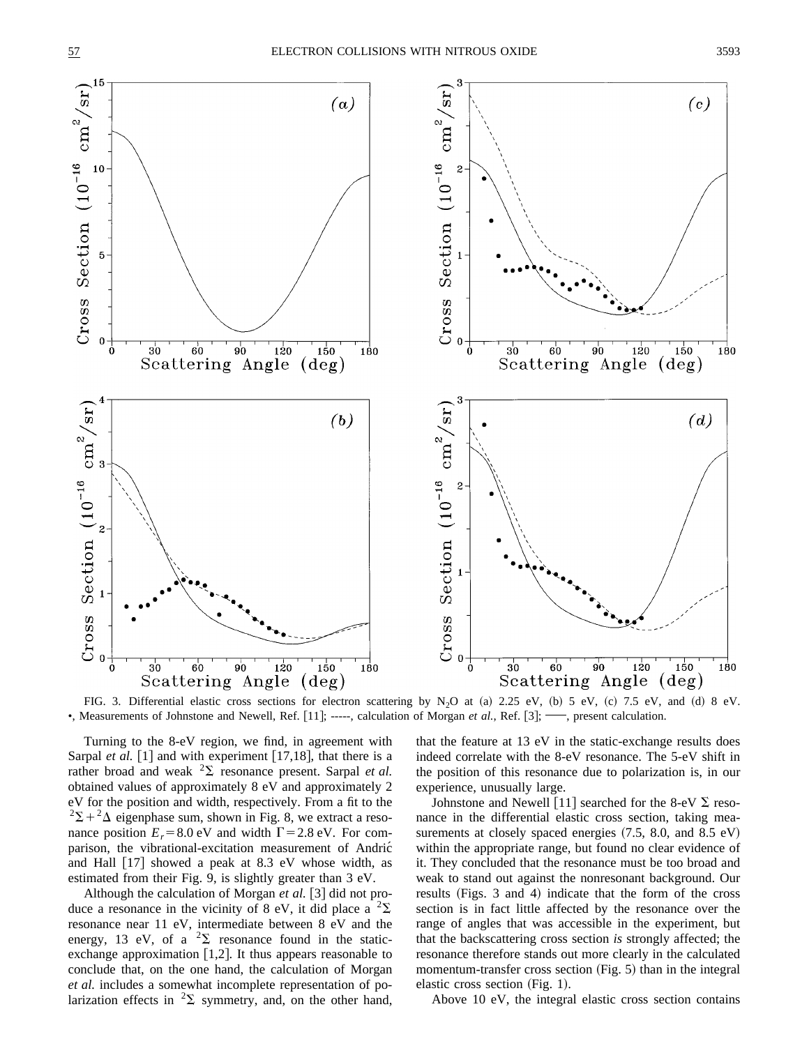

FIG. 3. Differential elastic cross sections for electron scattering by N<sub>2</sub>O at (a) 2.25 eV, (b) 5 eV, (c) 7.5 eV, and (d) 8 eV. •, Measurements of Johnstone and Newell, Ref.  $[11]$ ; -----, calculation of Morgan *et al.*, Ref.  $[3]$ ; —, present calculation.

Turning to the 8-eV region, we find, in agreement with Sarpal *et al.* [1] and with experiment [17,18], that there is a rather broad and weak  ${}^{2}\Sigma$  resonance present. Sarpal *et al.* obtained values of approximately 8 eV and approximately 2 eV for the position and width, respectively. From a fit to the  $2\Sigma + 2\Delta$  eigenphase sum, shown in Fig. 8, we extract a resonance position  $E_r = 8.0$  eV and width  $\Gamma = 2.8$  eV. For comparison, the vibrational-excitation measurement of Andric´ and Hall  $[17]$  showed a peak at 8.3 eV whose width, as estimated from their Fig. 9, is slightly greater than 3 eV.

Although the calculation of Morgan et al. [3] did not produce a resonance in the vicinity of 8 eV, it did place a  ${}^{2}\Sigma$ resonance near 11 eV, intermediate between 8 eV and the energy, 13 eV, of a  ${}^{2}\Sigma$  resonance found in the staticexchange approximation  $[1,2]$ . It thus appears reasonable to conclude that, on the one hand, the calculation of Morgan *et al.* includes a somewhat incomplete representation of polarization effects in  ${}^{2}\Sigma$  symmetry, and, on the other hand, that the feature at 13 eV in the static-exchange results does indeed correlate with the 8-eV resonance. The 5-eV shift in the position of this resonance due to polarization is, in our experience, unusually large.

Johnstone and Newell [11] searched for the 8-eV  $\Sigma$  resonance in the differential elastic cross section, taking measurements at closely spaced energies  $(7.5, 8.0, \text{ and } 8.5 \text{ eV})$ within the appropriate range, but found no clear evidence of it. They concluded that the resonance must be too broad and weak to stand out against the nonresonant background. Our results (Figs. 3 and 4) indicate that the form of the cross section is in fact little affected by the resonance over the range of angles that was accessible in the experiment, but that the backscattering cross section *is* strongly affected; the resonance therefore stands out more clearly in the calculated momentum-transfer cross section  $(Fig. 5)$  than in the integral elastic cross section  $(Fig. 1)$ .

Above 10 eV, the integral elastic cross section contains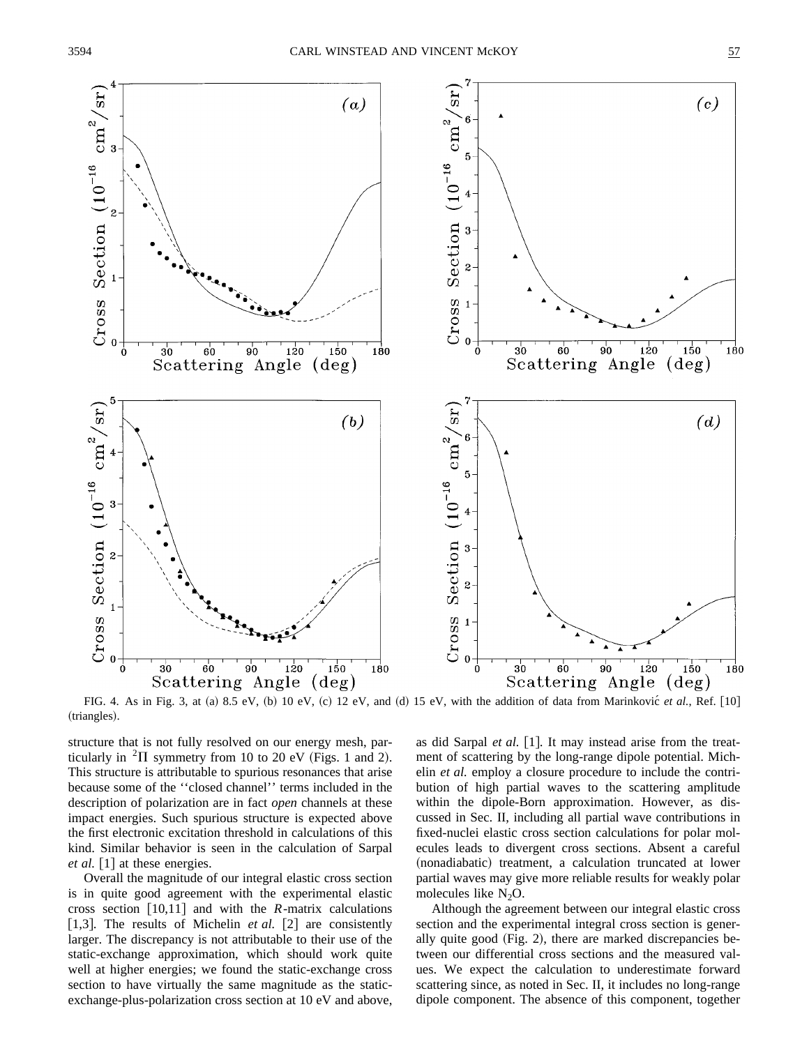

FIG. 4. As in Fig. 3, at (a) 8.5 eV, (b) 10 eV, (c) 12 eV, and (d) 15 eV, with the addition of data from Marinkovic<sup>e</sup> *et al.*, Ref. [10] (triangles).

structure that is not fully resolved on our energy mesh, particularly in  ${}^{2}$ H symmetry from 10 to 20 eV (Figs. 1 and 2). This structure is attributable to spurious resonances that arise because some of the ''closed channel'' terms included in the description of polarization are in fact *open* channels at these impact energies. Such spurious structure is expected above the first electronic excitation threshold in calculations of this kind. Similar behavior is seen in the calculation of Sarpal *et al.*  $\begin{bmatrix} 1 \end{bmatrix}$  at these energies.

Overall the magnitude of our integral elastic cross section is in quite good agreement with the experimental elastic cross section  $[10,11]$  and with the *R*-matrix calculations [1,3]. The results of Michelin *et al.* [2] are consistently larger. The discrepancy is not attributable to their use of the static-exchange approximation, which should work quite well at higher energies; we found the static-exchange cross section to have virtually the same magnitude as the staticexchange-plus-polarization cross section at 10 eV and above, as did Sarpal *et al.* [1]. It may instead arise from the treatment of scattering by the long-range dipole potential. Michelin *et al.* employ a closure procedure to include the contribution of high partial waves to the scattering amplitude within the dipole-Born approximation. However, as discussed in Sec. II, including all partial wave contributions in fixed-nuclei elastic cross section calculations for polar molecules leads to divergent cross sections. Absent a careful (nonadiabatic) treatment, a calculation truncated at lower partial waves may give more reliable results for weakly polar molecules like  $N_2O$ .

Although the agreement between our integral elastic cross section and the experimental integral cross section is generally quite good  $(Fig. 2)$ , there are marked discrepancies between our differential cross sections and the measured values. We expect the calculation to underestimate forward scattering since, as noted in Sec. II, it includes no long-range dipole component. The absence of this component, together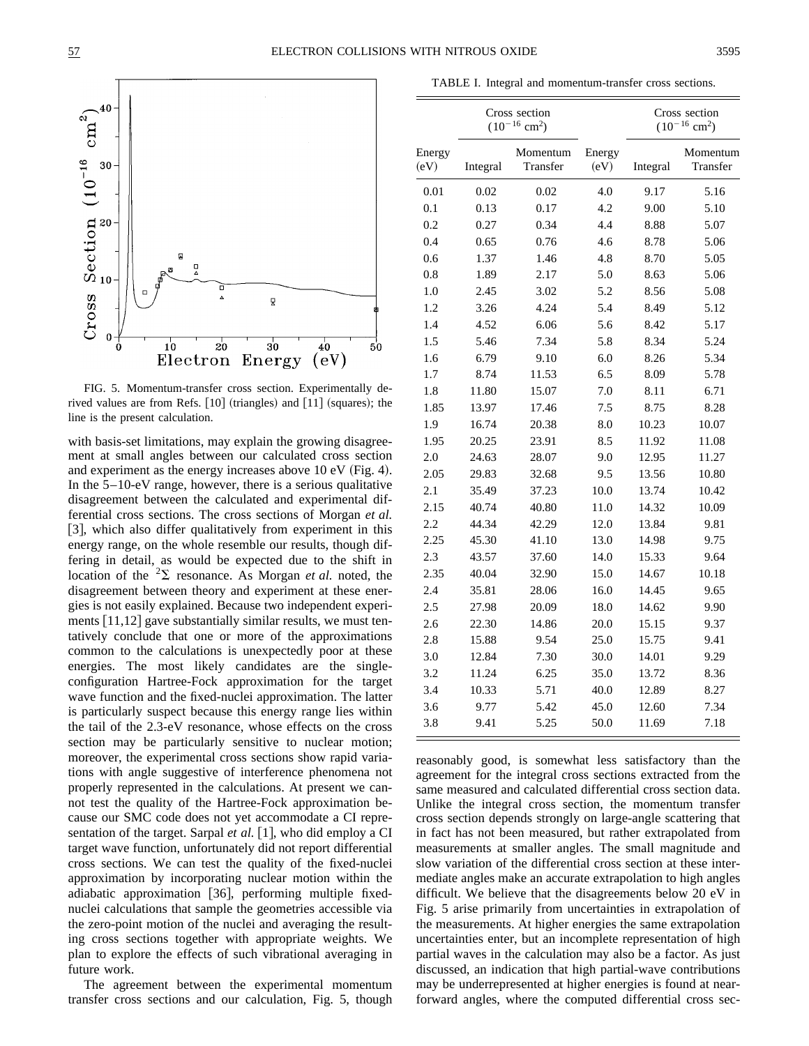

FIG. 5. Momentum-transfer cross section. Experimentally derived values are from Refs.  $\lfloor 10 \rfloor$  (triangles) and  $\lfloor 11 \rfloor$  (squares); the line is the present calculation.

with basis-set limitations, may explain the growing disagreement at small angles between our calculated cross section and experiment as the energy increases above  $10 \text{ eV}$  (Fig. 4). In the  $5-10$ -eV range, however, there is a serious qualitative disagreement between the calculated and experimental differential cross sections. The cross sections of Morgan *et al.* [3], which also differ qualitatively from experiment in this energy range, on the whole resemble our results, though differing in detail, as would be expected due to the shift in location of the  ${}^{2}\Sigma$  resonance. As Morgan *et al.* noted, the disagreement between theory and experiment at these energies is not easily explained. Because two independent experiments  $[11,12]$  gave substantially similar results, we must tentatively conclude that one or more of the approximations common to the calculations is unexpectedly poor at these energies. The most likely candidates are the singleconfiguration Hartree-Fock approximation for the target wave function and the fixed-nuclei approximation. The latter is particularly suspect because this energy range lies within the tail of the 2.3-eV resonance, whose effects on the cross section may be particularly sensitive to nuclear motion; moreover, the experimental cross sections show rapid variations with angle suggestive of interference phenomena not properly represented in the calculations. At present we cannot test the quality of the Hartree-Fock approximation because our SMC code does not yet accommodate a CI representation of the target. Sarpal *et al.* [1], who did employ a CI target wave function, unfortunately did not report differential cross sections. We can test the quality of the fixed-nuclei approximation by incorporating nuclear motion within the adiabatic approximation [36], performing multiple fixednuclei calculations that sample the geometries accessible via the zero-point motion of the nuclei and averaging the resulting cross sections together with appropriate weights. We plan to explore the effects of such vibrational averaging in future work.

The agreement between the experimental momentum transfer cross sections and our calculation, Fig. 5, though

|                |  | TABLE I. Integral and momentum-transfer cross sections. |  |                                                |          |
|----------------|--|---------------------------------------------------------|--|------------------------------------------------|----------|
|                |  | Cross section<br>$(10^{-16}$ cm <sup>2</sup> )          |  | Cross section<br>$(10^{-16}$ cm <sup>2</sup> ) |          |
| ergy<br>$\sim$ |  | Momentum Energy                                         |  |                                                | Momentum |

| Energy<br>(eV) | Integral | Momentum<br>Transfer | Energy<br>(eV) | Integral | Momentum<br>Transfer |
|----------------|----------|----------------------|----------------|----------|----------------------|
| 0.01           | 0.02     | 0.02                 | 4.0            | 9.17     | 5.16                 |
| 0.1            | 0.13     | 0.17                 | 4.2            | 9.00     | 5.10                 |
| 0.2            | 0.27     | 0.34                 | 4.4            | 8.88     | 5.07                 |
| 0.4            | 0.65     | 0.76                 | 4.6            | 8.78     | 5.06                 |
| 0.6            | 1.37     | 1.46                 | 4.8            | 8.70     | 5.05                 |
| 0.8            | 1.89     | 2.17                 | 5.0            | 8.63     | 5.06                 |
| 1.0            | 2.45     | 3.02                 | 5.2            | 8.56     | 5.08                 |
| 1.2            | 3.26     | 4.24                 | 5.4            | 8.49     | 5.12                 |
| 1.4            | 4.52     | 6.06                 | 5.6            | 8.42     | 5.17                 |
| 1.5            | 5.46     | 7.34                 | 5.8            | 8.34     | 5.24                 |
| 1.6            | 6.79     | 9.10                 | 6.0            | 8.26     | 5.34                 |
| 1.7            | 8.74     | 11.53                | 6.5            | 8.09     | 5.78                 |
| 1.8            | 11.80    | 15.07                | 7.0            | 8.11     | 6.71                 |
| 1.85           | 13.97    | 17.46                | 7.5            | 8.75     | 8.28                 |
| 1.9            | 16.74    | 20.38                | 8.0            | 10.23    | 10.07                |
| 1.95           | 20.25    | 23.91                | 8.5            | 11.92    | 11.08                |
| 2.0            | 24.63    | 28.07                | 9.0            | 12.95    | 11.27                |
| 2.05           | 29.83    | 32.68                | 9.5            | 13.56    | 10.80                |
| 2.1            | 35.49    | 37.23                | 10.0           | 13.74    | 10.42                |
| 2.15           | 40.74    | 40.80                | 11.0           | 14.32    | 10.09                |
| 2.2            | 44.34    | 42.29                | 12.0           | 13.84    | 9.81                 |
| 2.25           | 45.30    | 41.10                | 13.0           | 14.98    | 9.75                 |
| 2.3            | 43.57    | 37.60                | 14.0           | 15.33    | 9.64                 |
| 2.35           | 40.04    | 32.90                | 15.0           | 14.67    | 10.18                |
| 2.4            | 35.81    | 28.06                | 16.0           | 14.45    | 9.65                 |
| 2.5            | 27.98    | 20.09                | 18.0           | 14.62    | 9.90                 |
| 2.6            | 22.30    | 14.86                | 20.0           | 15.15    | 9.37                 |
| 2.8            | 15.88    | 9.54                 | 25.0           | 15.75    | 9.41                 |
| 3.0            | 12.84    | 7.30                 | 30.0           | 14.01    | 9.29                 |
| 3.2            | 11.24    | 6.25                 | 35.0           | 13.72    | 8.36                 |
| 3.4            | 10.33    | 5.71                 | 40.0           | 12.89    | 8.27                 |
| 3.6            | 9.77     | 5.42                 | 45.0           | 12.60    | 7.34                 |
| 3.8            | 9.41     | 5.25                 | 50.0           | 11.69    | 7.18                 |

reasonably good, is somewhat less satisfactory than the agreement for the integral cross sections extracted from the same measured and calculated differential cross section data. Unlike the integral cross section, the momentum transfer cross section depends strongly on large-angle scattering that in fact has not been measured, but rather extrapolated from measurements at smaller angles. The small magnitude and slow variation of the differential cross section at these intermediate angles make an accurate extrapolation to high angles difficult. We believe that the disagreements below 20 eV in Fig. 5 arise primarily from uncertainties in extrapolation of the measurements. At higher energies the same extrapolation uncertainties enter, but an incomplete representation of high partial waves in the calculation may also be a factor. As just discussed, an indication that high partial-wave contributions may be underrepresented at higher energies is found at nearforward angles, where the computed differential cross sec-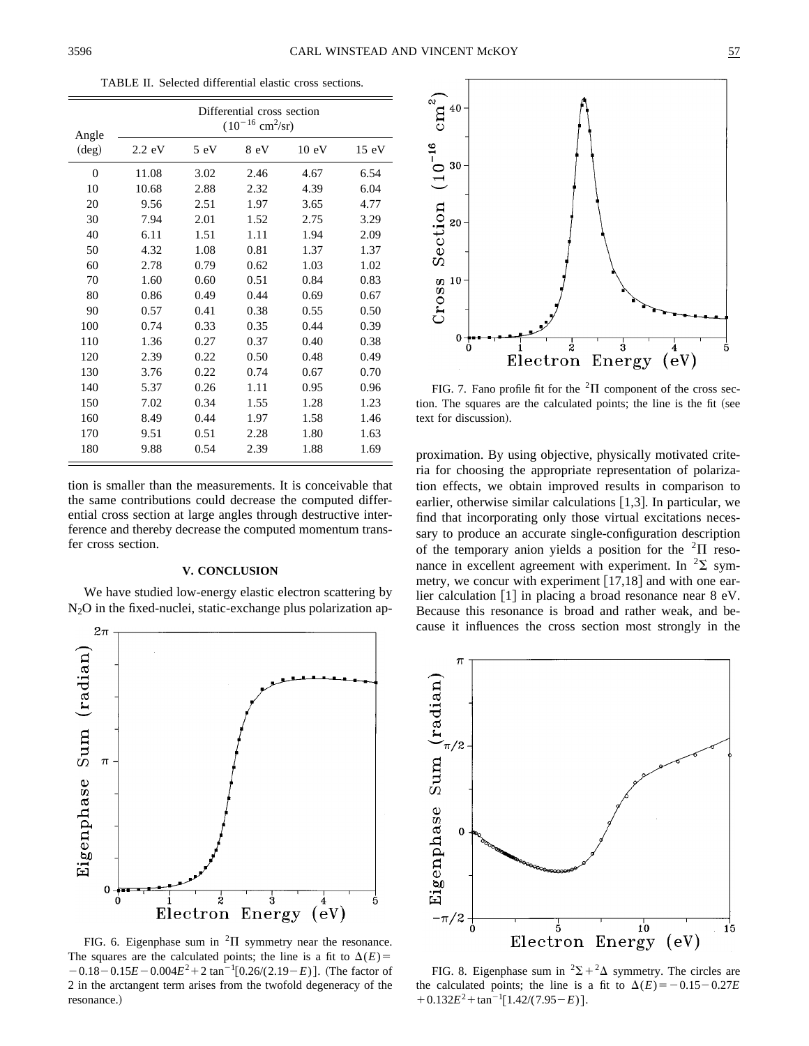TABLE II. Selected differential elastic cross sections.

| Angle          | Differential cross section<br>$(10^{-16}$ cm <sup>2</sup> /sr) |      |      |                 |       |  |  |
|----------------|----------------------------------------------------------------|------|------|-----------------|-------|--|--|
| $(\text{deg})$ | $2.2 \text{ eV}$                                               | 5 eV | 8 eV | $10 \text{ eV}$ | 15 eV |  |  |
| $\overline{0}$ | 11.08                                                          | 3.02 | 2.46 | 4.67            | 6.54  |  |  |
| 10             | 10.68                                                          | 2.88 | 2.32 | 4.39            | 6.04  |  |  |
| 20             | 9.56                                                           | 2.51 | 1.97 | 3.65            | 4.77  |  |  |
| 30             | 7.94                                                           | 2.01 | 1.52 | 2.75            | 3.29  |  |  |
| 40             | 6.11                                                           | 1.51 | 1.11 | 1.94            | 2.09  |  |  |
| 50             | 4.32                                                           | 1.08 | 0.81 | 1.37            | 1.37  |  |  |
| 60             | 2.78                                                           | 0.79 | 0.62 | 1.03            | 1.02  |  |  |
| 70             | 1.60                                                           | 0.60 | 0.51 | 0.84            | 0.83  |  |  |
| 80             | 0.86                                                           | 0.49 | 0.44 | 0.69            | 0.67  |  |  |
| 90             | 0.57                                                           | 0.41 | 0.38 | 0.55            | 0.50  |  |  |
| 100            | 0.74                                                           | 0.33 | 0.35 | 0.44            | 0.39  |  |  |
| 110            | 1.36                                                           | 0.27 | 0.37 | 0.40            | 0.38  |  |  |
| 120            | 2.39                                                           | 0.22 | 0.50 | 0.48            | 0.49  |  |  |
| 130            | 3.76                                                           | 0.22 | 0.74 | 0.67            | 0.70  |  |  |
| 140            | 5.37                                                           | 0.26 | 1.11 | 0.95            | 0.96  |  |  |
| 150            | 7.02                                                           | 0.34 | 1.55 | 1.28            | 1.23  |  |  |
| 160            | 8.49                                                           | 0.44 | 1.97 | 1.58            | 1.46  |  |  |
| 170            | 9.51                                                           | 0.51 | 2.28 | 1.80            | 1.63  |  |  |
| 180            | 9.88                                                           | 0.54 | 2.39 | 1.88            | 1.69  |  |  |

tion is smaller than the measurements. It is conceivable that the same contributions could decrease the computed differential cross section at large angles through destructive interference and thereby decrease the computed momentum transfer cross section.

### **V. CONCLUSION**

We have studied low-energy elastic electron scattering by  $N<sub>2</sub>O$  in the fixed-nuclei, static-exchange plus polarization ap-



FIG. 6. Eigenphase sum in  ${}^{2}\Pi$  symmetry near the resonance. The squares are the calculated points; the line is a fit to  $\Delta(E)$ =  $-0.18 - 0.15E - 0.004E^2 + 2 \tan^{-1}[0.26/(2.19-E)].$  (The factor of 2 in the arctangent term arises from the twofold degeneracy of the resonance.)



FIG. 7. Fano profile fit for the  ${}^{2}$ II component of the cross section. The squares are the calculated points; the line is the fit (see text for discussion).

proximation. By using objective, physically motivated criteria for choosing the appropriate representation of polarization effects, we obtain improved results in comparison to earlier, otherwise similar calculations  $[1,3]$ . In particular, we find that incorporating only those virtual excitations necessary to produce an accurate single-configuration description of the temporary anion yields a position for the  ${}^{2}\Pi$  resonance in excellent agreement with experiment. In  ${}^{2}\Sigma$  symmetry, we concur with experiment  $[17,18]$  and with one earlier calculation  $[1]$  in placing a broad resonance near 8 eV. Because this resonance is broad and rather weak, and because it influences the cross section most strongly in the



FIG. 8. Eigenphase sum in  ${}^{2}\Sigma + {}^{2}\Delta$  symmetry. The circles are the calculated points; the line is a fit to  $\Delta(E) = -0.15 - 0.27E$  $+0.132E^2 + \tan^{-1}[1.42/(7.95-E)].$